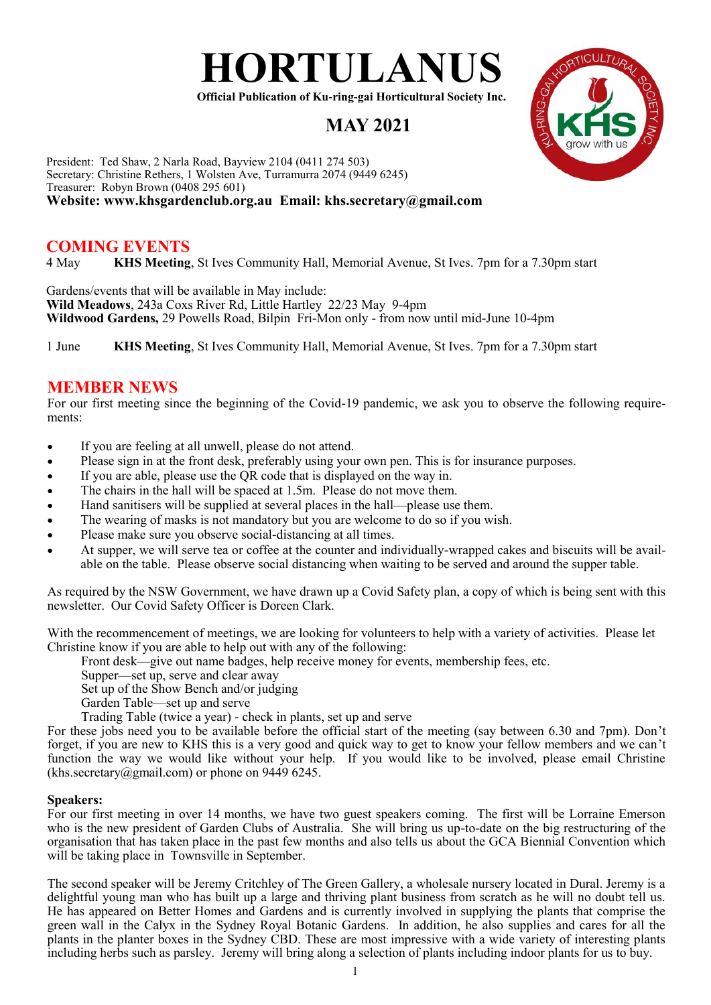

**Official Publication of Ku-ring-gai Horticultural Society Inc.**

# **MAY 2021**



## **COMING EVENTS**

4 May **KHS Meeting**, St Ives Community Hall, Memorial Avenue, St Ives. 7pm for a 7.30pm start

Gardens/events that will be available in May include: **Wild Meadows**, 243a Coxs River Rd, Little Hartley 22/23 May 9-4pm **Wildwood Gardens,** 29 Powells Road, Bilpin Fri-Mon only - from now until mid-June 10-4pm

1 June **KHS Meeting**, St Ives Community Hall, Memorial Avenue, St Ives. 7pm for a 7.30pm start

# **MEMBER NEWS**

For our first meeting since the beginning of the Covid-19 pandemic, we ask you to observe the following requirements:

- If you are feeling at all unwell, please do not attend.
- Please sign in at the front desk, preferably using your own pen. This is for insurance purposes.
- If you are able, please use the QR code that is displayed on the way in.
- The chairs in the hall will be spaced at 1.5m. Please do not move them.
- Hand sanitisers will be supplied at several places in the hall—please use them.
- The wearing of masks is not mandatory but you are welcome to do so if you wish.
- Please make sure you observe social-distancing at all times.
- At supper, we will serve tea or coffee at the counter and individually-wrapped cakes and biscuits will be available on the table. Please observe social distancing when waiting to be served and around the supper table.

As required by the NSW Government, we have drawn up a Covid Safety plan, a copy of which is being sent with this newsletter. Our Covid Safety Officer is Doreen Clark.

With the recommencement of meetings, we are looking for volunteers to help with a variety of activities. Please let Christine know if you are able to help out with any of the following:

Front desk—give out name badges, help receive money for events, membership fees, etc.

- Supper—set up, serve and clear away
- Set up of the Show Bench and/or judging
- Garden Table—set up and serve

Trading Table (twice a year) - check in plants, set up and serve

For these jobs need you to be available before the official start of the meeting (say between 6.30 and 7pm). Don't forget, if you are new to KHS this is a very good and quick way to get to know your fellow members and we can't function the way we would like without your help. If you would like to be involved, please email Christine (khs.secretary@gmail.com) or phone on 9449 6245.

#### **Speakers:**

For our first meeting in over 14 months, we have two guest speakers coming. The first will be Lorraine Emerson who is the new president of Garden Clubs of Australia. She will bring us up-to-date on the big restructuring of the organisation that has taken place in the past few months and also tells us about the GCA Biennial Convention which will be taking place in Townsville in September.

The second speaker will be Jeremy Critchley of The Green Gallery, a wholesale nursery located in Dural. Jeremy is a delightful young man who has built up a large and thriving plant business from scratch as he will no doubt tell us. He has appeared on Better Homes and Gardens and is currently involved in supplying the plants that comprise the green wall in the Calyx in the Sydney Royal Botanic Gardens. In addition, he also supplies and cares for all the plants in the planter boxes in the Sydney CBD. These are most impressive with a wide variety of interesting plants including herbs such as parsley. Jeremy will bring along a selection of plants including indoor plants for us to buy.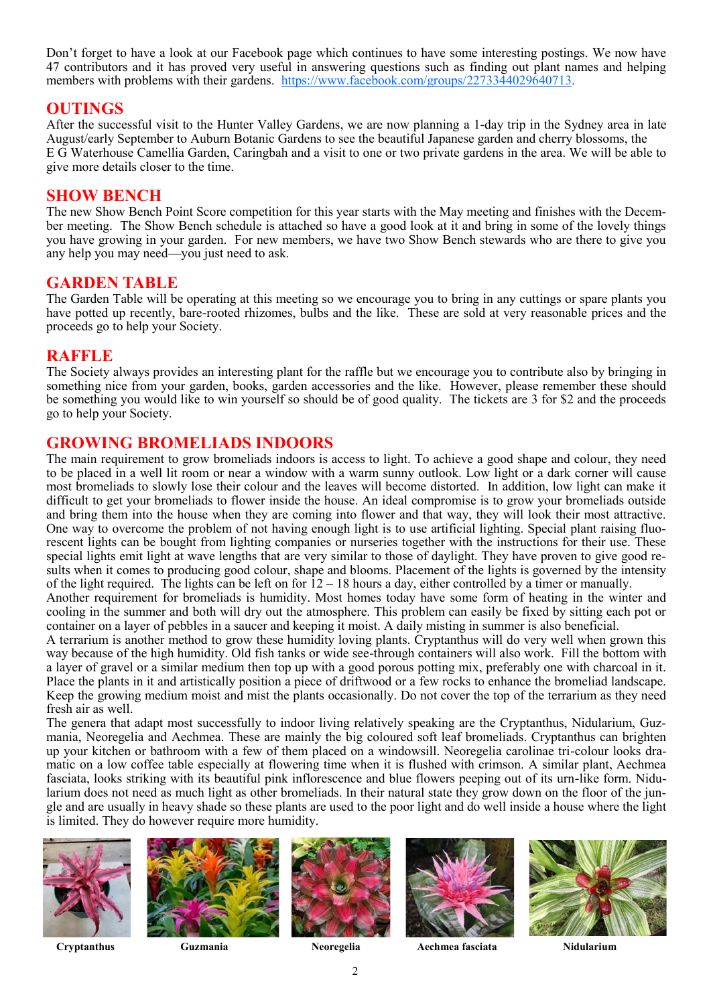Don't forget to have a look at our Facebook page which continues to have some interesting postings. We now have 47 contributors and it has proved very useful in answering questions such as finding out plant names and helping members with problems with their gardens. <https://www.facebook.com/groups/2273344029640713>.

### **OUTINGS**

After the successful visit to the Hunter Valley Gardens, we are now planning a 1-day trip in the Sydney area in late August/early September to Auburn Botanic Gardens to see the beautiful Japanese garden and cherry blossoms, the E G Waterhouse Camellia Garden, Caringbah and a visit to one or two private gardens in the area. We will be able to give more details closer to the time.

#### **SHOW BENCH**

The new Show Bench Point Score competition for this year starts with the May meeting and finishes with the December meeting. The Show Bench schedule is attached so have a good look at it and bring in some of the lovely things you have growing in your garden. For new members, we have two Show Bench stewards who are there to give you any help you may need—you just need to ask.

#### **GARDEN TABLE**

The Garden Table will be operating at this meeting so we encourage you to bring in any cuttings or spare plants you have potted up recently, bare-rooted rhizomes, bulbs and the like. These are sold at very reasonable prices and the proceeds go to help your Society.

### **RAFFLE**

The Society always provides an interesting plant for the raffle but we encourage you to contribute also by bringing in something nice from your garden, books, garden accessories and the like. However, please remember these should be something you would like to win yourself so should be of good quality. The tickets are 3 for \$2 and the proceeds go to help your Society.

### **GROWING BROMELIADS INDOORS**

The main requirement to grow bromeliads indoors is access to light. To achieve a good shape and colour, they need to be placed in a well lit room or near a window with a warm sunny outlook. Low light or a dark corner will cause most bromeliads to slowly lose their colour and the leaves will become distorted. In addition, low light can make it difficult to get your bromeliads to flower inside the house. An ideal compromise is to grow your bromeliads outside and bring them into the house when they are coming into flower and that way, they will look their most attractive. One way to overcome the problem of not having enough light is to use artificial lighting. Special plant raising fluorescent lights can be bought from lighting companies or nurseries together with the instructions for their use. These special lights emit light at wave lengths that are very similar to those of daylight. They have proven to give good results when it comes to producing good colour, shape and blooms. Placement of the lights is governed by the intensity of the light required. The lights can be left on for  $12 - 18$  hours a day, either controlled by a timer or manually.

Another requirement for bromeliads is humidity. Most homes today have some form of heating in the winter and cooling in the summer and both will dry out the atmosphere. This problem can easily be fixed by sitting each pot or container on a layer of pebbles in a saucer and keeping it moist. A daily misting in summer is also beneficial.

A terrarium is another method to grow these humidity loving plants. Cryptanthus will do very well when grown this way because of the high humidity. Old fish tanks or wide see-through containers will also work. Fill the bottom with a layer of gravel or a similar medium then top up with a good porous potting mix, preferably one with charcoal in it. Place the plants in it and artistically position a piece of driftwood or a few rocks to enhance the bromeliad landscape. Keep the growing medium moist and mist the plants occasionally. Do not cover the top of the terrarium as they need fresh air as well.

The genera that adapt most successfully to indoor living relatively speaking are the Cryptanthus, Nidularium, Guzmania, Neoregelia and Aechmea. These are mainly the big coloured soft leaf bromeliads. Cryptanthus can brighten up your kitchen or bathroom with a few of them placed on a windowsill. Neoregelia carolinae tri-colour looks dramatic on a low coffee table especially at flowering time when it is flushed with crimson. A similar plant, Aechmea fasciata, looks striking with its beautiful pink inflorescence and blue flowers peeping out of its urn-like form. Nidularium does not need as much light as other bromeliads. In their natural state they grow down on the floor of the jungle and are usually in heavy shade so these plants are used to the poor light and do well inside a house where the light is limited. They do however require more humidity.









 **Cryptanthus Guzmania Neoregelia Aechmea fasciata Nidularium**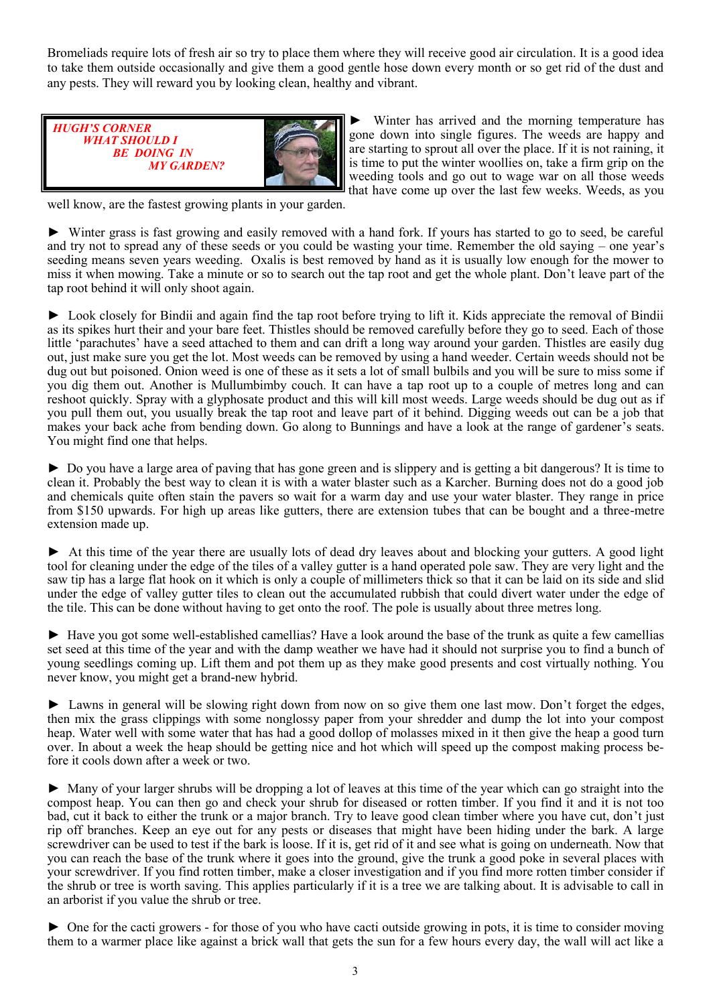Bromeliads require lots of fresh air so try to place them where they will receive good air circulation. It is a good idea to take them outside occasionally and give them a good gentle hose down every month or so get rid of the dust and any pests. They will reward you by looking clean, healthy and vibrant.



► Winter has arrived and the morning temperature has gone down into single figures. The weeds are happy and are starting to sprout all over the place. If it is not raining, it is time to put the winter woollies on, take a firm grip on the weeding tools and go out to wage war on all those weeds that have come up over the last few weeks. Weeds, as you

well know, are the fastest growing plants in your garden.

► Winter grass is fast growing and easily removed with a hand fork. If yours has started to go to seed, be careful and try not to spread any of these seeds or you could be wasting your time. Remember the old saying – one year's seeding means seven years weeding. Oxalis is best removed by hand as it is usually low enough for the mower to miss it when mowing. Take a minute or so to search out the tap root and get the whole plant. Don't leave part of the tap root behind it will only shoot again.

► Look closely for Bindii and again find the tap root before trying to lift it. Kids appreciate the removal of Bindii as its spikes hurt their and your bare feet. Thistles should be removed carefully before they go to seed. Each of those little 'parachutes' have a seed attached to them and can drift a long way around your garden. Thistles are easily dug out, just make sure you get the lot. Most weeds can be removed by using a hand weeder. Certain weeds should not be dug out but poisoned. Onion weed is one of these as it sets a lot of small bulbils and you will be sure to miss some if you dig them out. Another is Mullumbimby couch. It can have a tap root up to a couple of metres long and can reshoot quickly. Spray with a glyphosate product and this will kill most weeds. Large weeds should be dug out as if you pull them out, you usually break the tap root and leave part of it behind. Digging weeds out can be a job that makes your back ache from bending down. Go along to Bunnings and have a look at the range of gardener's seats. You might find one that helps.

► Do you have a large area of paving that has gone green and is slippery and is getting a bit dangerous? It is time to clean it. Probably the best way to clean it is with a water blaster such as a Karcher. Burning does not do a good job and chemicals quite often stain the pavers so wait for a warm day and use your water blaster. They range in price from \$150 upwards. For high up areas like gutters, there are extension tubes that can be bought and a three-metre extension made up.

► At this time of the year there are usually lots of dead dry leaves about and blocking your gutters. A good light tool for cleaning under the edge of the tiles of a valley gutter is a hand operated pole saw. They are very light and the saw tip has a large flat hook on it which is only a couple of millimeters thick so that it can be laid on its side and slid under the edge of valley gutter tiles to clean out the accumulated rubbish that could divert water under the edge of the tile. This can be done without having to get onto the roof. The pole is usually about three metres long.

► Have you got some well-established camellias? Have a look around the base of the trunk as quite a few camellias set seed at this time of the year and with the damp weather we have had it should not surprise you to find a bunch of young seedlings coming up. Lift them and pot them up as they make good presents and cost virtually nothing. You never know, you might get a brand-new hybrid.

► Lawns in general will be slowing right down from now on so give them one last mow. Don't forget the edges, then mix the grass clippings with some nonglossy paper from your shredder and dump the lot into your compost heap. Water well with some water that has had a good dollop of molasses mixed in it then give the heap a good turn over. In about a week the heap should be getting nice and hot which will speed up the compost making process before it cools down after a week or two.

► Many of your larger shrubs will be dropping a lot of leaves at this time of the year which can go straight into the compost heap. You can then go and check your shrub for diseased or rotten timber. If you find it and it is not too bad, cut it back to either the trunk or a major branch. Try to leave good clean timber where you have cut, don't just rip off branches. Keep an eye out for any pests or diseases that might have been hiding under the bark. A large screwdriver can be used to test if the bark is loose. If it is, get rid of it and see what is going on underneath. Now that you can reach the base of the trunk where it goes into the ground, give the trunk a good poke in several places with your screwdriver. If you find rotten timber, make a closer investigation and if you find more rotten timber consider if the shrub or tree is worth saving. This applies particularly if it is a tree we are talking about. It is advisable to call in an arborist if you value the shrub or tree.

► One for the cacti growers - for those of you who have cacti outside growing in pots, it is time to consider moving them to a warmer place like against a brick wall that gets the sun for a few hours every day, the wall will act like a